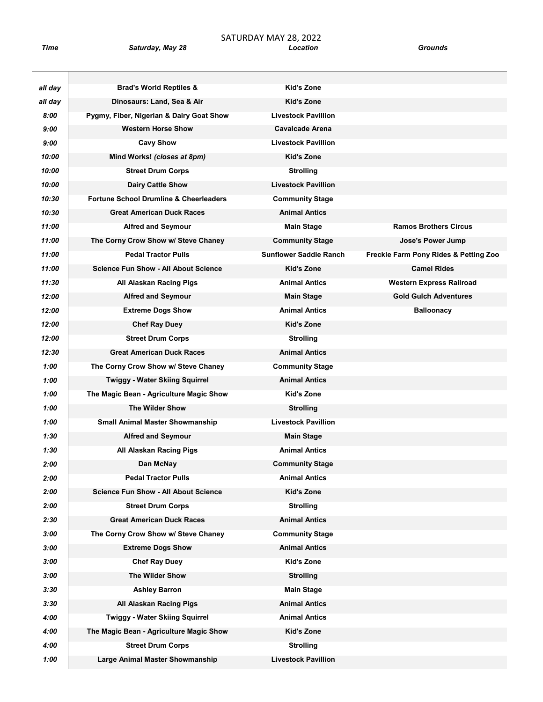| all day | <b>Brad's World Reptiles &amp;</b>                | Kid's Zone                         |                                       |
|---------|---------------------------------------------------|------------------------------------|---------------------------------------|
| all day | Dinosaurs: Land, Sea & Air                        | <b>Kid's Zone</b>                  |                                       |
| 8:00    | Pygmy, Fiber, Nigerian & Dairy Goat Show          | <b>Livestock Pavillion</b>         |                                       |
| 9:00    | <b>Western Horse Show</b>                         | <b>Cavalcade Arena</b>             |                                       |
| 9:00    | <b>Cavy Show</b>                                  | <b>Livestock Pavillion</b>         |                                       |
| 10:00   | Mind Works! (closes at 8pm)                       | Kid's Zone                         |                                       |
| 10:00   | <b>Street Drum Corps</b>                          | <b>Strolling</b>                   |                                       |
| 10:00   | <b>Dairy Cattle Show</b>                          | <b>Livestock Pavillion</b>         |                                       |
| 10:30   | <b>Fortune School Drumline &amp; Cheerleaders</b> | <b>Community Stage</b>             |                                       |
| 10:30   | <b>Great American Duck Races</b>                  | <b>Animal Antics</b>               |                                       |
| 11:00   | <b>Alfred and Seymour</b>                         | <b>Main Stage</b>                  | <b>Ramos Brothers Circus</b>          |
| 11:00   | The Corny Crow Show w/ Steve Chaney               | <b>Community Stage</b>             | Jose's Power Jump                     |
| 11:00   | <b>Pedal Tractor Pulls</b>                        | <b>Sunflower Saddle Ranch</b>      | Freckle Farm Pony Rides & Petting Zoo |
| 11:00   | <b>Science Fun Show - All About Science</b>       | <b>Kid's Zone</b>                  | <b>Camel Rides</b>                    |
| 11:30   | All Alaskan Racing Pigs                           | <b>Animal Antics</b>               | <b>Western Express Railroad</b>       |
| 12:00   | <b>Alfred and Seymour</b>                         | <b>Main Stage</b>                  | <b>Gold Gulch Adventures</b>          |
| 12:00   | <b>Extreme Dogs Show</b>                          | <b>Animal Antics</b>               | <b>Balloonacy</b>                     |
| 12:00   | <b>Chef Ray Duey</b>                              | Kid's Zone                         |                                       |
| 12:00   | <b>Street Drum Corps</b>                          | <b>Strolling</b>                   |                                       |
| 12:30   | <b>Great American Duck Races</b>                  | <b>Animal Antics</b>               |                                       |
| 1:00    |                                                   |                                    |                                       |
| 1:00    | The Corny Crow Show w/ Steve Chaney               | <b>Community Stage</b>             |                                       |
|         | <b>Twiggy - Water Skiing Squirrel</b>             | <b>Animal Antics</b><br>Kid's Zone |                                       |
| 1:00    | The Magic Bean - Agriculture Magic Show           |                                    |                                       |
| 1:00    | <b>The Wilder Show</b>                            | <b>Strolling</b>                   |                                       |
| 1:00    | <b>Small Animal Master Showmanship</b>            | <b>Livestock Pavillion</b>         |                                       |
| 1:30    | <b>Alfred and Seymour</b>                         | <b>Main Stage</b>                  |                                       |
| 1:30    | All Alaskan Racing Pigs                           | <b>Animal Antics</b>               |                                       |
| 2:00    | Dan McNay                                         | <b>Community Stage</b>             |                                       |
| 2:00    | <b>Pedal Tractor Pulls</b>                        | <b>Animal Antics</b>               |                                       |
| 2:00    | <b>Science Fun Show - All About Science</b>       | Kid's Zone                         |                                       |
| 2:00    | <b>Street Drum Corps</b>                          | <b>Strolling</b>                   |                                       |
| 2:30    | <b>Great American Duck Races</b>                  | <b>Animal Antics</b>               |                                       |
| 3:00    | The Corny Crow Show w/ Steve Chaney               | <b>Community Stage</b>             |                                       |
| 3:00    | <b>Extreme Dogs Show</b>                          | <b>Animal Antics</b>               |                                       |
| 3:00    | <b>Chef Ray Duey</b>                              | Kid's Zone                         |                                       |
| 3:00    | The Wilder Show                                   | <b>Strolling</b>                   |                                       |
| 3:30    | <b>Ashley Barron</b>                              | <b>Main Stage</b>                  |                                       |
| 3:30    | All Alaskan Racing Pigs                           | <b>Animal Antics</b>               |                                       |
| 4:00    | <b>Twiggy - Water Skiing Squirrel</b>             | <b>Animal Antics</b>               |                                       |
| 4:00    | The Magic Bean - Agriculture Magic Show           | Kid's Zone                         |                                       |
| 4:00    | <b>Street Drum Corps</b>                          | <b>Strolling</b>                   |                                       |
| 1:00    | Large Animal Master Showmanship                   | <b>Livestock Pavillion</b>         |                                       |